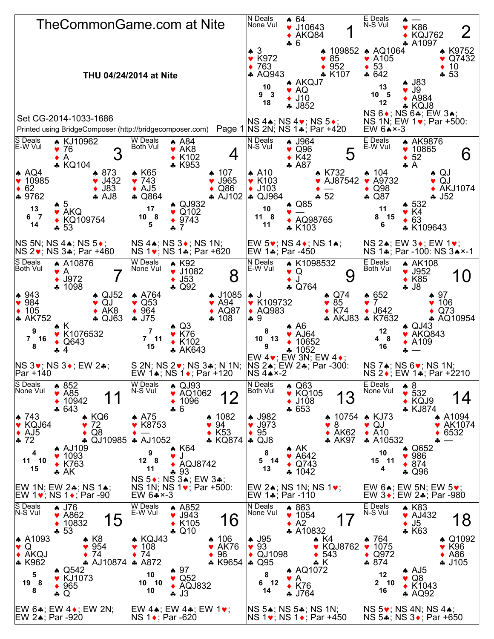